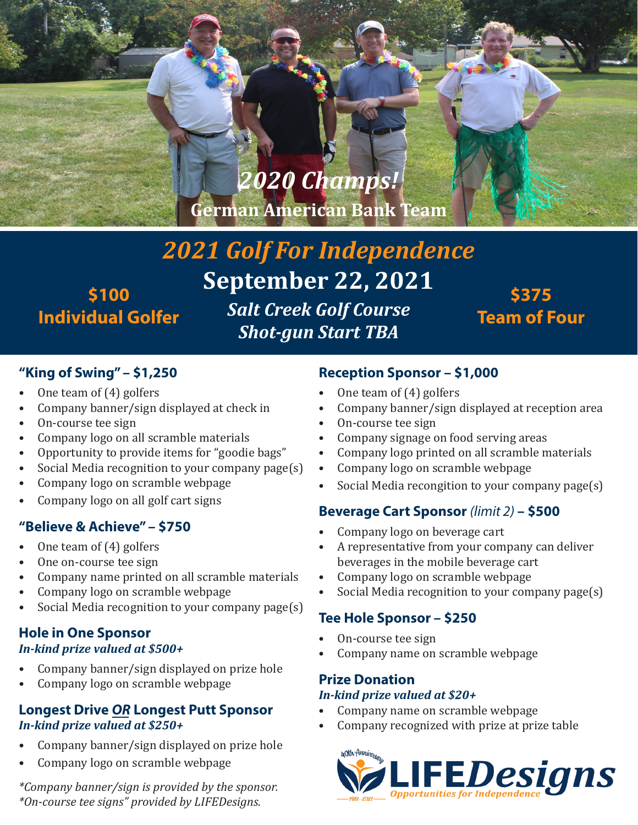# *2020 Champs!*

**German American Bank Team**

# *2021 Golf For Independence* **September 22, 2021** *Salt Creek Golf Course* **Individual Golfer**

*Shot-gun Start TBA*

# **\$375 Team of Four**

### **"King of Swing" – \$1,250**

**\$100**

- One team of (4) golfers
- Company banner/sign displayed at check in
- On-course tee sign
- Company logo on all scramble materials
- Opportunity to provide items for "goodie bags"
- Social Media recognition to your company page(s)
- Company logo on scramble webpage
- Company logo on all golf cart signs

### **"Believe & Achieve" – \$750**

- One team of (4) golfers
- One on-course tee sign
- Company name printed on all scramble materials
- Company logo on scramble webpage
- Social Media recognition to your company page $(s)$

#### **Hole in One Sponsor** *In-kind prize valued at \$500+*

- Company banner/sign displayed on prize hole
- Company logo on scramble webpage

#### **Longest Drive** *OR* **Longest Putt Sponsor** *In-kind prize valued at \$250+*

- Company banner/sign displayed on prize hole
- Company logo on scramble webpage

*\*Company banner/sign is provided by the sponsor. \*On-course tee signs" provided by LIFEDesigns.*

## **Reception Sponsor – \$1,000**

- One team of (4) golfers
- Company banner/sign displayed at reception area
- On-course tee sign
- Company signage on food serving areas
- Company logo printed on all scramble materials
- Company logo on scramble webpage
- Social Media recongition to your company page(s)

## **Beverage Cart Sponsor** *(limit 2)* **– \$500**

- Company logo on beverage cart
- A representative from your company can deliver beverages in the mobile beverage cart
- Company logo on scramble webpage
- Social Media recognition to your company page(s)

## **Tee Hole Sponsor – \$250**

- On-course tee sign
- Company name on scramble webpage

# **Prize Donation**

#### *In-kind prize valued at \$20+*

- Company name on scramble webpage
- Company recognized with prize at prize table